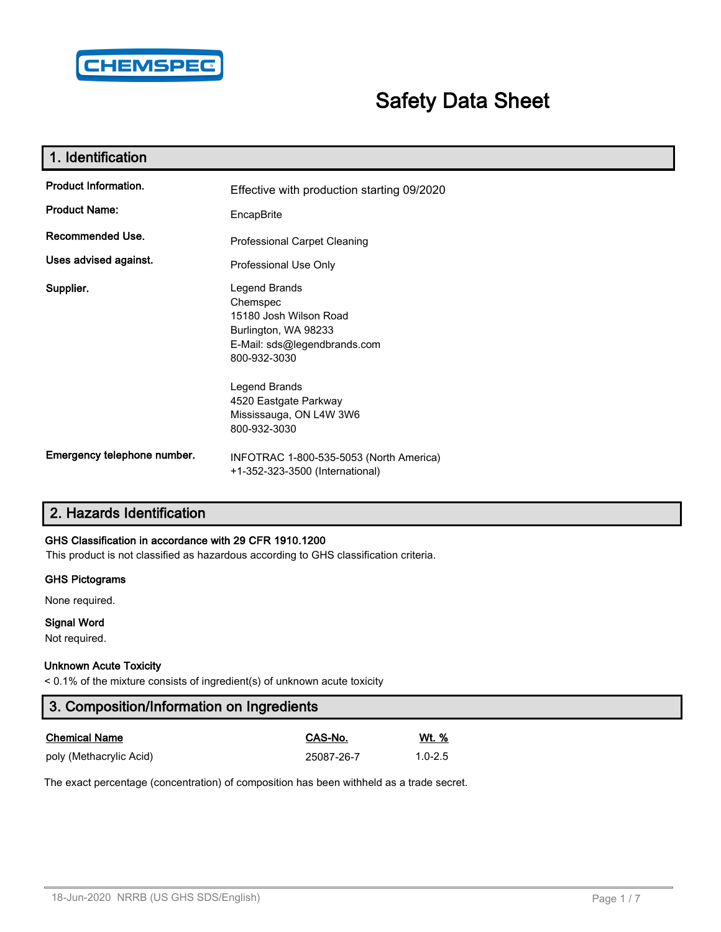

# **Safety Data Sheet**

| 1. Identification           |                                                                                                                             |
|-----------------------------|-----------------------------------------------------------------------------------------------------------------------------|
| <b>Product Information.</b> | Effective with production starting 09/2020                                                                                  |
| <b>Product Name:</b>        | EncapBrite                                                                                                                  |
| Recommended Use.            | <b>Professional Carpet Cleaning</b>                                                                                         |
| Uses advised against.       | Professional Use Only                                                                                                       |
| Supplier.                   | Legend Brands<br>Chemspec<br>15180 Josh Wilson Road<br>Burlington, WA 98233<br>E-Mail: sds@legendbrands.com<br>800-932-3030 |
|                             | Legend Brands<br>4520 Eastgate Parkway<br>Mississauga, ON L4W 3W6<br>800-932-3030                                           |
| Emergency telephone number. | INFOTRAC 1-800-535-5053 (North America)<br>+1-352-323-3500 (International)                                                  |

# **2. Hazards Identification**

### **GHS Classification in accordance with 29 CFR 1910.1200**

This product is not classified as hazardous according to GHS classification criteria.

### **GHS Pictograms**

None required.

### **Signal Word**

Not required.

### **Unknown Acute Toxicity**

< 0.1% of the mixture consists of ingredient(s) of unknown acute toxicity

| 3. Composition/Information on Ingredients |            |              |  |  |
|-------------------------------------------|------------|--------------|--|--|
| <b>Chemical Name</b>                      | CAS-No.    | <u>Wt. %</u> |  |  |
| poly (Methacrylic Acid)                   | 25087-26-7 | $1.0 - 2.5$  |  |  |

The exact percentage (concentration) of composition has been withheld as a trade secret.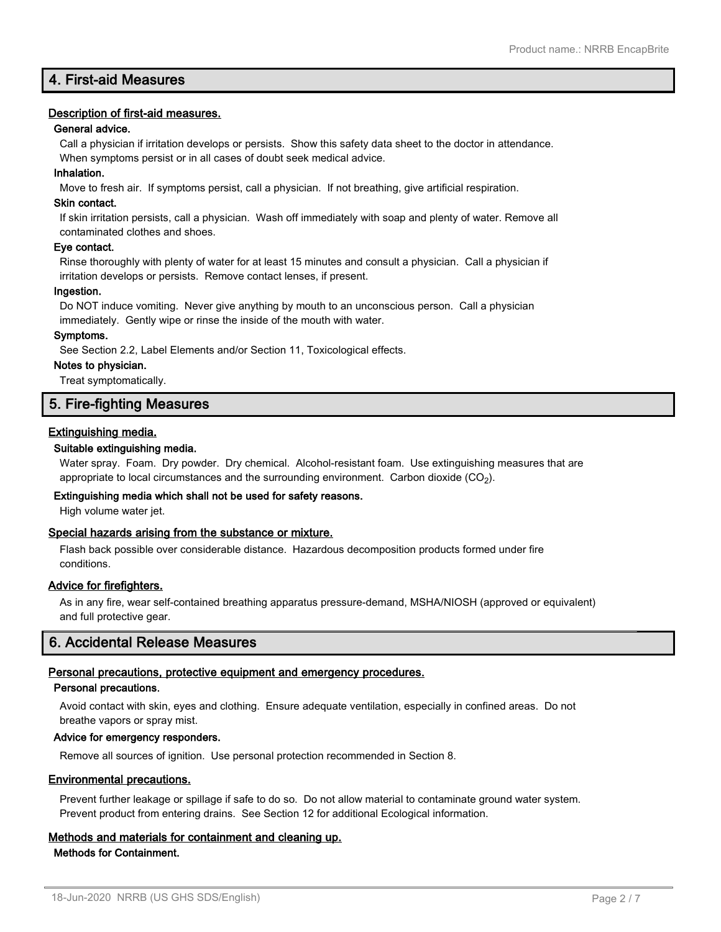# **4. First-aid Measures**

### **Description of first-aid measures.**

### **General advice.**

Call a physician if irritation develops or persists. Show this safety data sheet to the doctor in attendance. When symptoms persist or in all cases of doubt seek medical advice.

### **Inhalation.**

Move to fresh air. If symptoms persist, call a physician. If not breathing, give artificial respiration.

### **Skin contact.**

If skin irritation persists, call a physician. Wash off immediately with soap and plenty of water. Remove all contaminated clothes and shoes.

### **Eye contact.**

Rinse thoroughly with plenty of water for at least 15 minutes and consult a physician. Call a physician if irritation develops or persists. Remove contact lenses, if present.

### **Ingestion.**

Do NOT induce vomiting. Never give anything by mouth to an unconscious person. Call a physician immediately. Gently wipe or rinse the inside of the mouth with water.

### **Symptoms.**

See Section 2.2, Label Elements and/or Section 11, Toxicological effects.

#### **Notes to physician.**

Treat symptomatically.

# **5. Fire-fighting Measures**

### **Extinguishing media.**

### **Suitable extinguishing media.**

Water spray. Foam. Dry powder. Dry chemical. Alcohol-resistant foam. Use extinguishing measures that are appropriate to local circumstances and the surrounding environment.  $\rm ~Carbon$  dioxide  $\rm (CO_2).$ 

### **Extinguishing media which shall not be used for safety reasons.**

High volume water jet.

### **Special hazards arising from the substance or mixture.**

Flash back possible over considerable distance. Hazardous decomposition products formed under fire conditions.

### **Advice for firefighters.**

As in any fire, wear self-contained breathing apparatus pressure-demand, MSHA/NIOSH (approved or equivalent) and full protective gear.

### **6. Accidental Release Measures**

### **Personal precautions, protective equipment and emergency procedures.**

### **Personal precautions.**

Avoid contact with skin, eyes and clothing. Ensure adequate ventilation, especially in confined areas. Do not breathe vapors or spray mist.

### **Advice for emergency responders.**

Remove all sources of ignition. Use personal protection recommended in Section 8.

### **Environmental precautions.**

Prevent further leakage or spillage if safe to do so. Do not allow material to contaminate ground water system. Prevent product from entering drains. See Section 12 for additional Ecological information.

# **Methods and materials for containment and cleaning up.**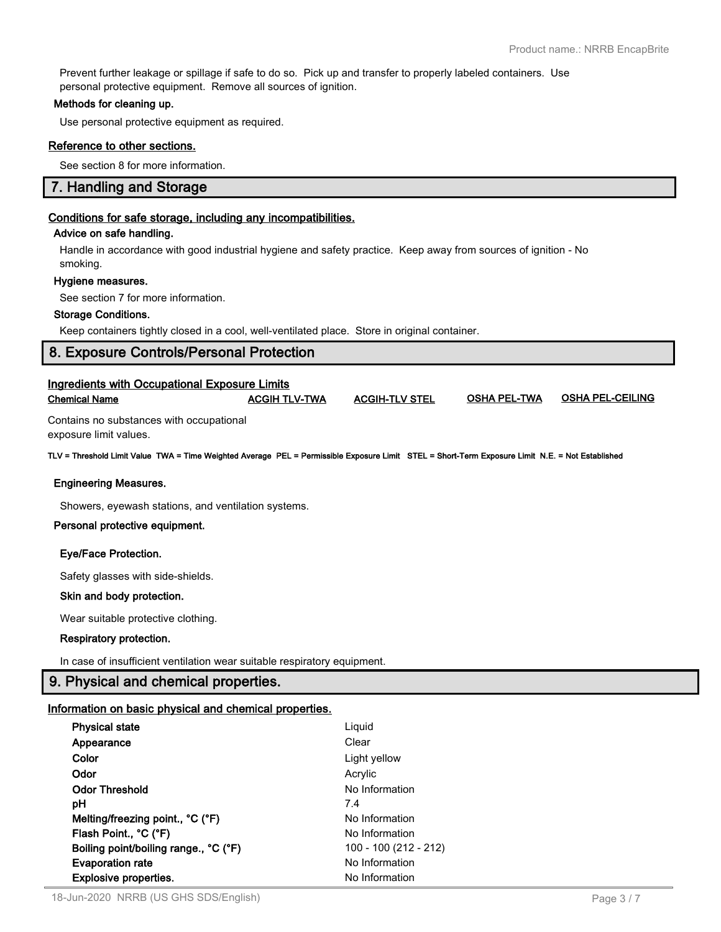Prevent further leakage or spillage if safe to do so. Pick up and transfer to properly labeled containers. Use personal protective equipment. Remove all sources of ignition.

### **Methods for cleaning up.**

Use personal protective equipment as required.

### **Reference to other sections.**

See section 8 for more information.

# **7. Handling and Storage**

### **Conditions for safe storage, including any incompatibilities.**

### **Advice on safe handling.**

Handle in accordance with good industrial hygiene and safety practice. Keep away from sources of ignition - No smoking.

### **Hygiene measures.**

See section 7 for more information.

### **Storage Conditions.**

Keep containers tightly closed in a cool, well-ventilated place. Store in original container.

# **8. Exposure Controls/Personal Protection**

| <b>Ingredients with Occupational Exposure Limits</b><br><b>Chemical Name</b>                                                                     | <b>ACGIH TLV-TWA</b> | <b>ACGIH-TLV STEL</b> | <b>OSHA PEL-TWA</b> | <b>OSHA PEL-CEILING</b> |
|--------------------------------------------------------------------------------------------------------------------------------------------------|----------------------|-----------------------|---------------------|-------------------------|
| Contains no substances with occupational<br>exposure limit values.                                                                               |                      |                       |                     |                         |
| TLV = Threshold Limit Value TWA = Time Weighted Average PEL = Permissible Exposure Limit STEL = Short-Term Exposure Limit N.E. = Not Established |                      |                       |                     |                         |

### **Engineering Measures.**

Showers, eyewash stations, and ventilation systems.

### **Personal protective equipment.**

### **Eye/Face Protection.**

Safety glasses with side-shields.

### **Skin and body protection.**

Wear suitable protective clothing.

### **Respiratory protection.**

In case of insufficient ventilation wear suitable respiratory equipment.

# **9. Physical and chemical properties.**

### **Information on basic physical and chemical properties.**

| <b>Physical state</b>                 | Liquid                |
|---------------------------------------|-----------------------|
| Appearance                            | Clear                 |
| Color                                 | Light yellow          |
| Odor                                  | Acrylic               |
| <b>Odor Threshold</b>                 | No Information        |
| рH                                    | 7.4                   |
| Melting/freezing point., °C (°F)      | No Information        |
| Flash Point., °C (°F)                 | No Information        |
| Boiling point/boiling range., °C (°F) | 100 - 100 (212 - 212) |
| <b>Evaporation rate</b>               | No Information        |
| <b>Explosive properties.</b>          | No Information        |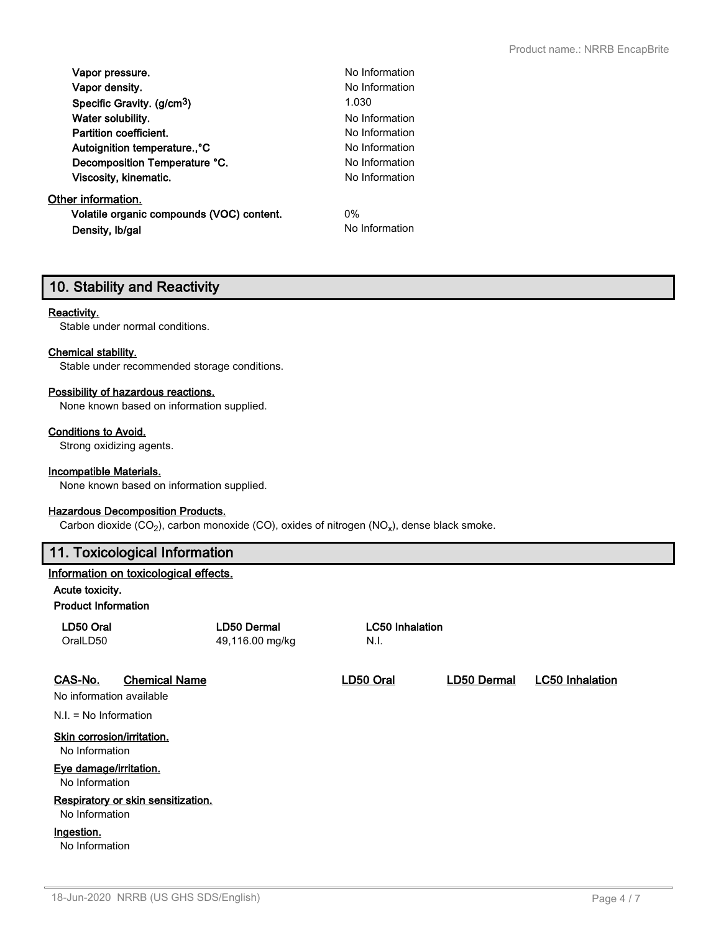| Vapor pressure.                           | No Information |
|-------------------------------------------|----------------|
| Vapor density.                            | No Information |
| Specific Gravity. (g/cm <sup>3</sup> )    | 1.030          |
| Water solubility.                         | No Information |
| Partition coefficient.                    | No Information |
| Autoignition temperature., °C             | No Information |
| Decomposition Temperature °C.             | No Information |
| Viscosity, kinematic.                     | No Information |
| Other information.                        |                |
| Volatile organic compounds (VOC) content. | $0\%$          |
| Density, Ib/gal                           | No Information |

# **10. Stability and Reactivity**

### **Reactivity.**

Stable under normal conditions.

### **Chemical stability.**

Stable under recommended storage conditions.

### **Possibility of hazardous reactions.**

None known based on information supplied.

### **Conditions to Avoid.**

Strong oxidizing agents.

### **Incompatible Materials.**

None known based on information supplied.

### **Hazardous Decomposition Products.**

Carbon dioxide (CO<sub>2</sub>), carbon monoxide (CO), oxides of nitrogen (NO<sub>x</sub>), dense black smoke.

# **11. Toxicological Information**

### **Information on toxicological effects.**

**Acute toxicity.**

### **Product Information**

| LD50 Oral<br>OralLD50                                |                      | <b>LD50 Dermal</b><br>49,116.00 mg/kg | <b>LC50 Inhalation</b><br>N.I. |             |                        |  |
|------------------------------------------------------|----------------------|---------------------------------------|--------------------------------|-------------|------------------------|--|
| CAS-No.<br>No information available                  | <b>Chemical Name</b> |                                       | LD50 Oral                      | LD50 Dermal | <b>LC50 Inhalation</b> |  |
| $N.I. = No Information$                              |                      |                                       |                                |             |                        |  |
| Skin corrosion/irritation.<br>No Information         |                      |                                       |                                |             |                        |  |
| Eye damage/irritation.<br>No Information             |                      |                                       |                                |             |                        |  |
| Respiratory or skin sensitization.<br>No Information |                      |                                       |                                |             |                        |  |
| Ingestion.<br>No Information                         |                      |                                       |                                |             |                        |  |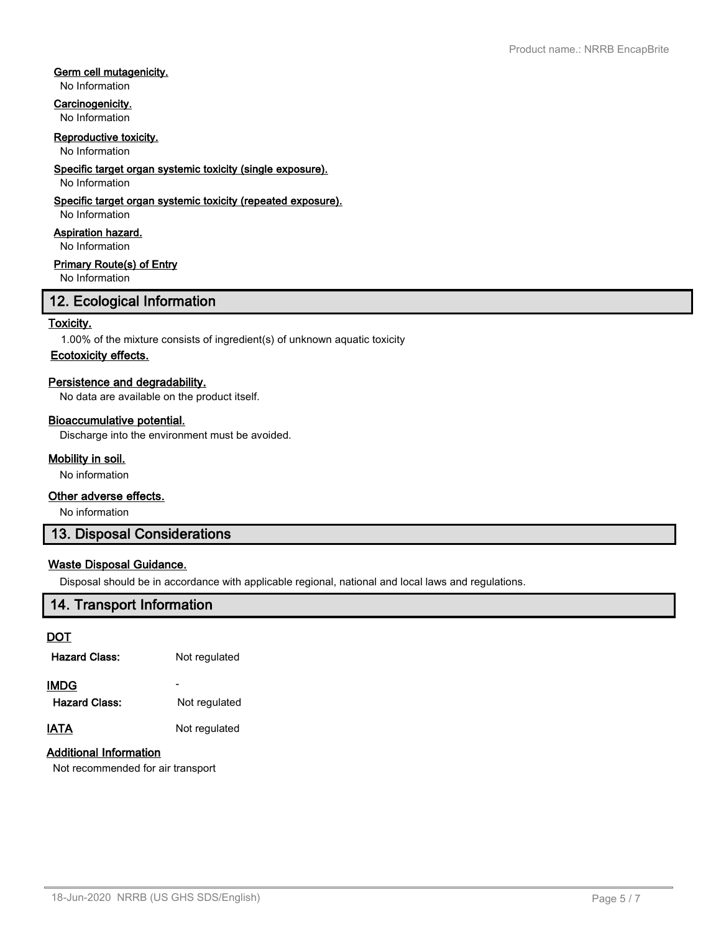### **Germ cell mutagenicity.**

No Information

### **Carcinogenicity.**

No Information

### **Reproductive toxicity.**

No Information

### **Specific target organ systemic toxicity (single exposure).**

No Information

### **Specific target organ systemic toxicity (repeated exposure).**

No Information

**Aspiration hazard.**

No Information

### **Primary Route(s) of Entry**

No Information

# **12. Ecological Information**

### **Toxicity.**

1.00% of the mixture consists of ingredient(s) of unknown aquatic toxicity

### **Ecotoxicity effects.**

### **Persistence and degradability.**

No data are available on the product itself.

### **Bioaccumulative potential.**

Discharge into the environment must be avoided.

### **Mobility in soil.**

No information

### **Other adverse effects.**

No information

# **13. Disposal Considerations**

### **Waste Disposal Guidance.**

Disposal should be in accordance with applicable regional, national and local laws and regulations.

# **14. Transport Information**

### **DOT**

| <b>Hazard Class:</b>         | Not regulated |
|------------------------------|---------------|
| <b>IMDG</b><br>Hazard Class: | Not regulated |
| <b>IATA</b>                  | Not regulated |

# **Additional Information**

Not recommended for air transport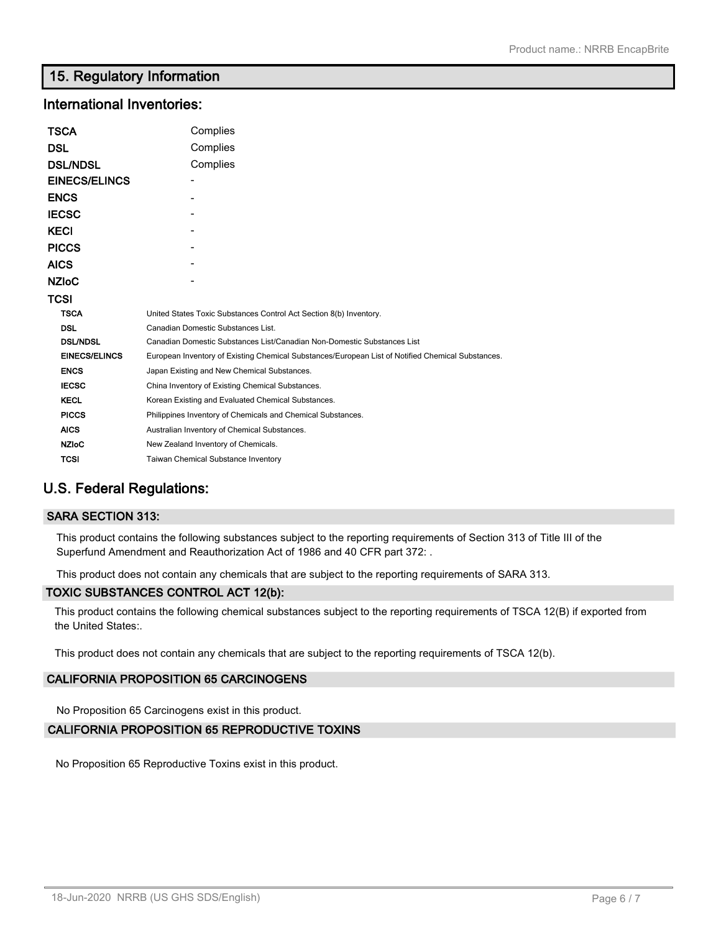# **15. Regulatory Information**

# **International Inventories:**

| TSCA                 | Complies                                                                                          |  |  |
|----------------------|---------------------------------------------------------------------------------------------------|--|--|
| DSL                  | Complies                                                                                          |  |  |
| <b>DSL/NDSL</b>      | Complies                                                                                          |  |  |
| <b>EINECS/ELINCS</b> |                                                                                                   |  |  |
| <b>ENCS</b>          |                                                                                                   |  |  |
| <b>IECSC</b>         |                                                                                                   |  |  |
| KECI                 |                                                                                                   |  |  |
| <b>PICCS</b>         |                                                                                                   |  |  |
| AICS                 |                                                                                                   |  |  |
| <b>NZIoC</b>         |                                                                                                   |  |  |
| TCSI                 |                                                                                                   |  |  |
| <b>TSCA</b>          | United States Toxic Substances Control Act Section 8(b) Inventory.                                |  |  |
| <b>DSL</b>           | Canadian Domestic Substances List.                                                                |  |  |
| <b>DSL/NDSL</b>      | Canadian Domestic Substances List/Canadian Non-Domestic Substances List                           |  |  |
| <b>EINECS/ELINCS</b> | European Inventory of Existing Chemical Substances/European List of Notified Chemical Substances. |  |  |
| <b>ENCS</b>          | Japan Existing and New Chemical Substances.                                                       |  |  |
| <b>IECSC</b>         | China Inventory of Existing Chemical Substances.                                                  |  |  |
| <b>KECL</b>          | Korean Existing and Evaluated Chemical Substances.                                                |  |  |
| <b>PICCS</b>         | Philippines Inventory of Chemicals and Chemical Substances.                                       |  |  |
| <b>AICS</b>          | Australian Inventory of Chemical Substances.                                                      |  |  |
| <b>NZIoC</b>         | New Zealand Inventory of Chemicals.                                                               |  |  |
| TCSI                 | <b>Taiwan Chemical Substance Inventory</b>                                                        |  |  |

# **U.S. Federal Regulations:**

### **SARA SECTION 313:**

This product contains the following substances subject to the reporting requirements of Section 313 of Title III of the Superfund Amendment and Reauthorization Act of 1986 and 40 CFR part 372: .

This product does not contain any chemicals that are subject to the reporting requirements of SARA 313.

### **TOXIC SUBSTANCES CONTROL ACT 12(b):**

This product contains the following chemical substances subject to the reporting requirements of TSCA 12(B) if exported from the United States:.

This product does not contain any chemicals that are subject to the reporting requirements of TSCA 12(b).

### **CALIFORNIA PROPOSITION 65 CARCINOGENS**

No Proposition 65 Carcinogens exist in this product.

### **CALIFORNIA PROPOSITION 65 REPRODUCTIVE TOXINS**

No Proposition 65 Reproductive Toxins exist in this product.